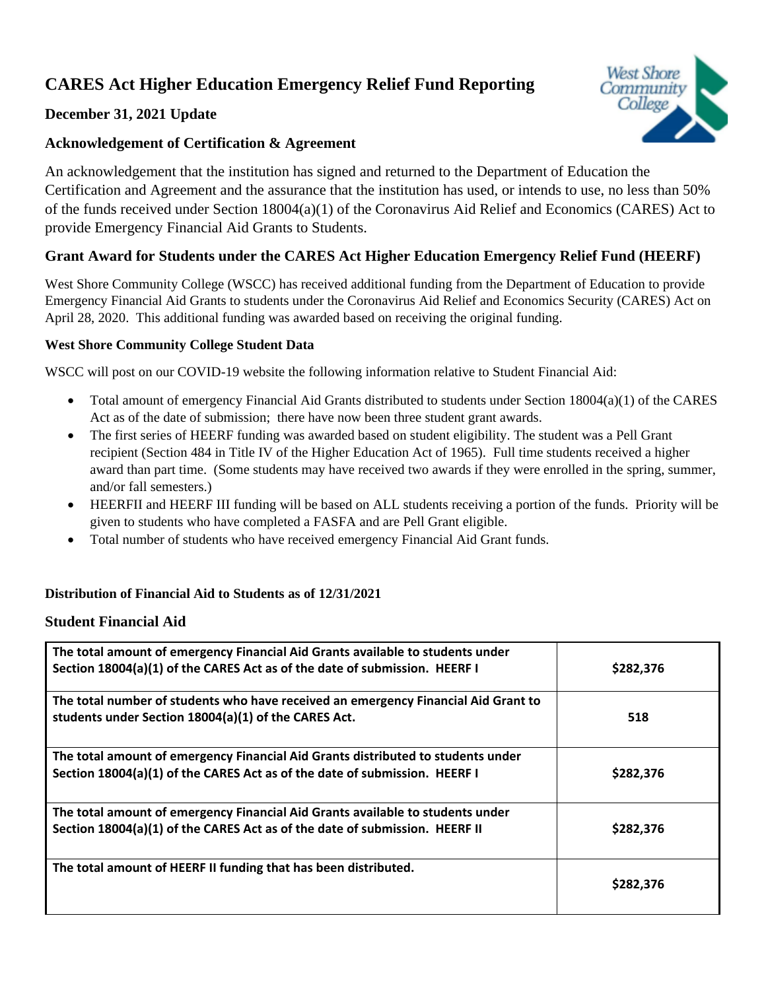# **CARES Act Higher Education Emergency Relief Fund Reporting**



## **December 31, 2021 Update**

## **Acknowledgement of Certification & Agreement**

An acknowledgement that the institution has signed and returned to the Department of Education the Certification and Agreement and the assurance that the institution has used, or intends to use, no less than 50% of the funds received under Section 18004(a)(1) of the Coronavirus Aid Relief and Economics (CARES) Act to provide Emergency Financial Aid Grants to Students.

# **Grant Award for Students under the CARES Act Higher Education Emergency Relief Fund (HEERF)**

West Shore Community College (WSCC) has received additional funding from the Department of Education to provide Emergency Financial Aid Grants to students under the Coronavirus Aid Relief and Economics Security (CARES) Act on April 28, 2020. This additional funding was awarded based on receiving the original funding.

## **West Shore Community College Student Data**

WSCC will post on our COVID-19 website the following information relative to Student Financial Aid:

- Total amount of emergency Financial Aid Grants distributed to students under Section 18004(a)(1) of the CARES Act as of the date of submission; there have now been three student grant awards.
- The first series of HEERF funding was awarded based on student eligibility. The student was a Pell Grant recipient (Section 484 in Title IV of the Higher Education Act of 1965). Full time students received a higher award than part time. (Some students may have received two awards if they were enrolled in the spring, summer, and/or fall semesters.)
- HEERFII and HEERF III funding will be based on ALL students receiving a portion of the funds. Priority will be given to students who have completed a FASFA and are Pell Grant eligible.
- Total number of students who have received emergency Financial Aid Grant funds.

## **Distribution of Financial Aid to Students as of 12/31/2021**

## **Student Financial Aid**

| The total amount of emergency Financial Aid Grants available to students under<br>Section 18004(a)(1) of the CARES Act as of the date of submission. HEERF I   | \$282,376 |
|----------------------------------------------------------------------------------------------------------------------------------------------------------------|-----------|
| The total number of students who have received an emergency Financial Aid Grant to<br>students under Section 18004(a)(1) of the CARES Act.                     | 518       |
| The total amount of emergency Financial Aid Grants distributed to students under<br>Section 18004(a)(1) of the CARES Act as of the date of submission. HEERF I | \$282,376 |
| The total amount of emergency Financial Aid Grants available to students under<br>Section 18004(a)(1) of the CARES Act as of the date of submission. HEERF II  | \$282,376 |
| The total amount of HEERF II funding that has been distributed.                                                                                                | \$282,376 |